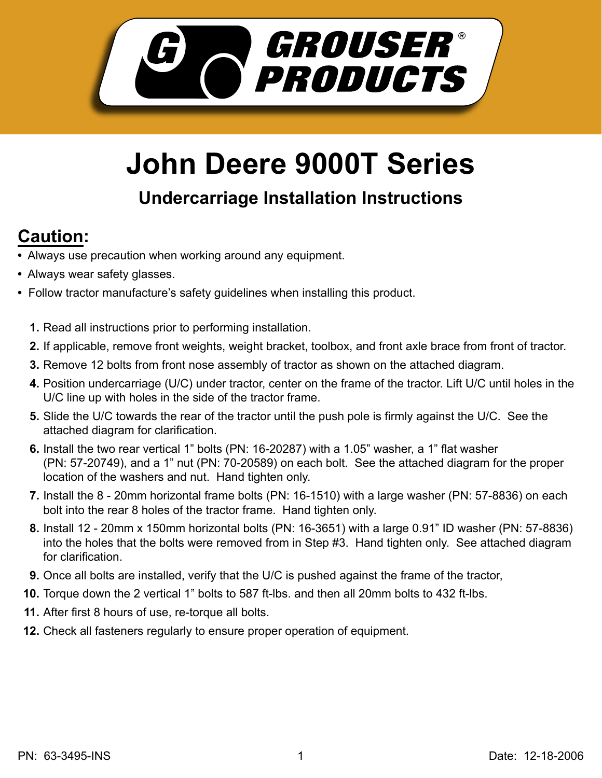

## **John Deere 9000T Series**

## **Undercarriage Installation Instructions**

## **Caution:**

- Always use precaution when working around any equipment.
- Always wear safety glasses.
- Follow tractor manufacture's safety guidelines when installing this product.
	- **1.** Read all instructions prior to performing installation.
	- **2.** If applicable, remove front weights, weight bracket, toolbox, and front axle brace from front of tractor.
	- **3.** Remove 12 bolts from front nose assembly of tractor as shown on the attached diagram.
	- **4.** Position undercarriage (U/C) under tractor, center on the frame of the tractor. Lift U/C until holes in the U/C line up with holes in the side of the tractor frame.
	- Slide the U/C towards the rear of the tractor until the push pole is firmly against the U/C. See the **5.** attached diagram for clarification.
	- **6.** Install the two rear vertical 1" bolts (PN: 16-20287) with a 1.05" washer, a 1" flat washer (PN: 57-20749), and a 1" nut (PN: 70-20589) on each bolt. See the attached diagram for the proper location of the washers and nut. Hand tighten only.
	- **7.** Install the 8 20mm horizontal frame bolts (PN: 16-1510) with a large washer (PN: 57-8836) on each bolt into the rear 8 holes of the tractor frame. Hand tighten only.
	- Install 12 20mm x 150mm horizontal bolts (PN: 16-3651) with a large 0.91" ID washer (PN: 57-8836) **8.** into the holes that the bolts were removed from in Step #3. Hand tighten only. See attached diagram for clarification.
	- **9.** Once all bolts are installed, verify that the U/C is pushed against the frame of the tractor,
	- **10.** Torque down the 2 vertical 1" bolts to 587 ft-lbs. and then all 20mm bolts to 432 ft-lbs.
	- After first 8 hours of use, re-torque all bolts. **11.**
	- **12.** Check all fasteners regularly to ensure proper operation of equipment.